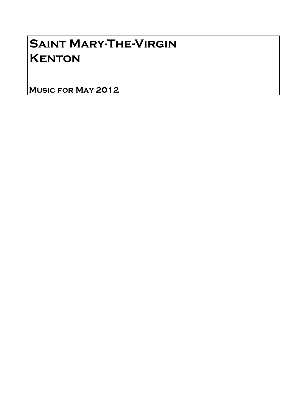## Saint Mary-The-Virgin **KENTON**

Music for May 2012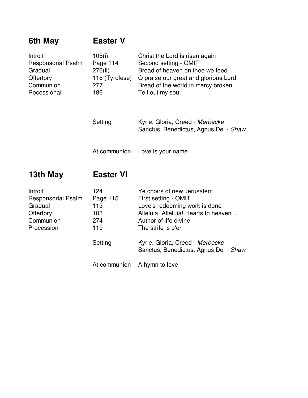| 6th May                                                                                  | <b>Easter V</b>                                               |                                                                                                                                                                                                               |
|------------------------------------------------------------------------------------------|---------------------------------------------------------------|---------------------------------------------------------------------------------------------------------------------------------------------------------------------------------------------------------------|
| Introit<br><b>Responsorial Psalm</b><br>Gradual<br>Offertory<br>Communion<br>Recessional | 105(i)<br>Page 114<br>276(ii)<br>116 (Tyrolese)<br>277<br>186 | Christ the Lord is risen again<br>Second setting - OMIT<br>Bread of heaven on thee we feed<br>O praise our great and glorious Lord<br>Bread of the world in mercy broken<br>Tell out my soul                  |
|                                                                                          | Setting                                                       | Kyrie, Gloria, Creed - Merbecke<br>Sanctus, Benedictus, Agnus Dei - Shaw                                                                                                                                      |
|                                                                                          | At communion                                                  | Love is your name                                                                                                                                                                                             |
| 13th May                                                                                 | <b>Easter VI</b>                                              |                                                                                                                                                                                                               |
| Introit<br><b>Responsorial Psalm</b><br>Gradual<br>Offertory<br>Communion<br>Procession  | 124<br>Page 115<br>113<br>103<br>274<br>119<br>Setting        | Ye choirs of new Jerusalem<br>First setting - OMIT<br>Love's redeeming work is done<br>Alleluia! Alleluia! Hearts to heaven<br>Author of life divine<br>The strife is o'er<br>Kyrie, Gloria, Creed - Merbecke |
|                                                                                          |                                                               | Sanctus, Benedictus, Agnus Dei - Shaw                                                                                                                                                                         |
|                                                                                          | At communion                                                  | A hymn to love                                                                                                                                                                                                |